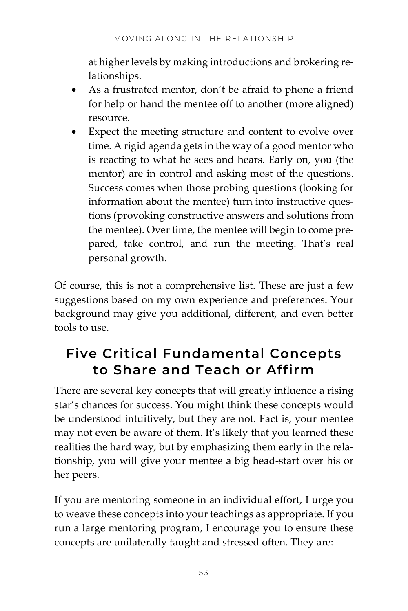at higher levels by making introductions and brokering relationships.

- As a frustrated mentor, don't be afraid to phone a friend for help or hand the mentee off to another (more aligned) resource.
- Expect the meeting structure and content to evolve over time. A rigid agenda gets in the way of a good mentor who is reacting to what he sees and hears. Early on, you (the mentor) are in control and asking most of the questions. Success comes when those probing questions (looking for information about the mentee) turn into instructive questions (provoking constructive answers and solutions from the mentee). Over time, the mentee will begin to come prepared, take control, and run the meeting. That's real personal growth.

Of course, this is not a comprehensive list. These are just a few suggestions based on my own experience and preferences. Your background may give you additional, different, and even better tools to use.

## **Five Critical Fundamental Concepts to Share and Teach or Affirm**

There are several key concepts that will greatly influence a rising star's chances for success. You might think these concepts would be understood intuitively, but they are not. Fact is, your mentee may not even be aware of them. It's likely that you learned these realities the hard way, but by emphasizing them early in the relationship, you will give your mentee a big head-start over his or her peers.

If you are mentoring someone in an individual effort, I urge you to weave these concepts into your teachings as appropriate. If you run a large mentoring program, I encourage you to ensure these concepts are unilaterally taught and stressed often. They are: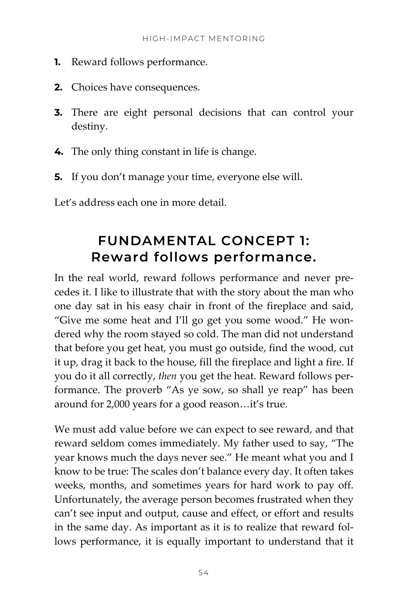- **1.** Reward follows performance.
- **2.** Choices have consequences.
- **3.** There are eight personal decisions that can control your destiny.
- **4.** The only thing constant in life is change.
- **5.** If you don't manage your time, everyone else will.

Let's address each one in more detail.

### **FUNDAMENTAL CONCEPT 1: Reward follows performance.**

In the real world, reward follows performance and never precedes it. I like to illustrate that with the story about the man who one day sat in his easy chair in front of the fireplace and said, "Give me some heat and I'll go get you some wood." He wondered why the room stayed so cold. The man did not understand that before you get heat, you must go outside, find the wood, cut it up, drag it back to the house, fill the fireplace and light a fire. If you do it all correctly, *then* you get the heat. Reward follows performance. The proverb "As ye sow, so shall ye reap" has been around for 2,000 years for a good reason…it's true.

We must add value before we can expect to see reward, and that reward seldom comes immediately. My father used to say, "The year knows much the days never see." He meant what you and I know to be true: The scales don't balance every day. It often takes weeks, months, and sometimes years for hard work to pay off. Unfortunately, the average person becomes frustrated when they can't see input and output, cause and effect, or effort and results in the same day. As important as it is to realize that reward follows performance, it is equally important to understand that it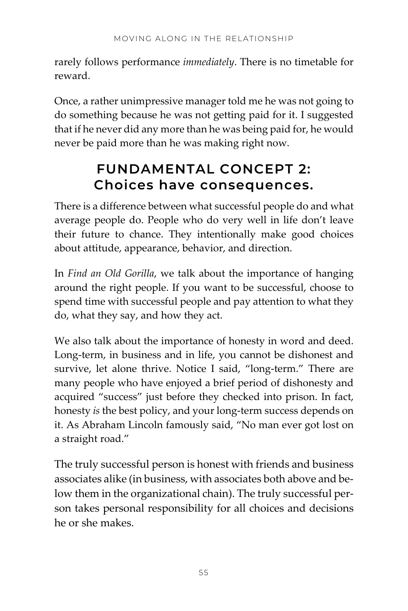rarely follows performance *immediately*. There is no timetable for reward.

Once, a rather unimpressive manager told me he was not going to do something because he was not getting paid for it. I suggested that if he never did any more than he was being paid for, he would never be paid more than he was making right now.

## **FUNDAMENTAL CONCEPT 2: Choices have consequences.**

There is a difference between what successful people do and what average people do. People who do very well in life don't leave their future to chance. They intentionally make good choices about attitude, appearance, behavior, and direction.

In *Find an Old Gorilla*, we talk about the importance of hanging around the right people. If you want to be successful, choose to spend time with successful people and pay attention to what they do, what they say, and how they act.

We also talk about the importance of honesty in word and deed. Long-term, in business and in life, you cannot be dishonest and survive, let alone thrive. Notice I said, "long-term." There are many people who have enjoyed a brief period of dishonesty and acquired "success" just before they checked into prison. In fact, honesty *is* the best policy, and your long-term success depends on it. As Abraham Lincoln famously said, "No man ever got lost on a straight road."

The truly successful person is honest with friends and business associates alike (in business, with associates both above and below them in the organizational chain). The truly successful person takes personal responsibility for all choices and decisions he or she makes.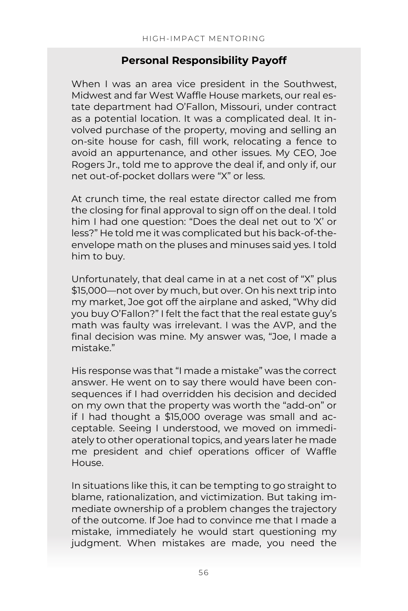#### **Personal Responsibility Payoff**

When I was an area vice president in the Southwest, Midwest and far West Waffle House markets, our real estate department had O'Fallon, Missouri, under contract as a potential location. It was a complicated deal. It involved purchase of the property, moving and selling an on-site house for cash, fill work, relocating a fence to avoid an appurtenance, and other issues. My CEO, Joe Rogers Jr., told me to approve the deal if, and only if, our net out-of-pocket dollars were "X" or less.

At crunch time, the real estate director called me from the closing for final approval to sign off on the deal. I told him I had one question: "Does the deal net out to 'X' or less?" He told me it was complicated but his back-of-theenvelope math on the pluses and minuses said yes. I told him to buy.

Unfortunately, that deal came in at a net cost of "X" plus \$15,000—not over by much, but over. On his next trip into my market, Joe got off the airplane and asked, "Why did you buy O'Fallon?" I felt the fact that the real estate guy's math was faulty was irrelevant. I was the AVP, and the final decision was mine. My answer was, "Joe, I made a mistake."

His response was that "I made a mistake" was the correct answer. He went on to say there would have been consequences if I had overridden his decision and decided on my own that the property was worth the "add-on" or if I had thought a \$15,000 overage was small and acceptable. Seeing I understood, we moved on immediately to other operational topics, and years later he made me president and chief operations officer of Waffle House.

In situations like this, it can be tempting to go straight to blame, rationalization, and victimization. But taking immediate ownership of a problem changes the trajectory of the outcome. If Joe had to convince me that I made a mistake, immediately he would start questioning my judgment. When mistakes are made, you need the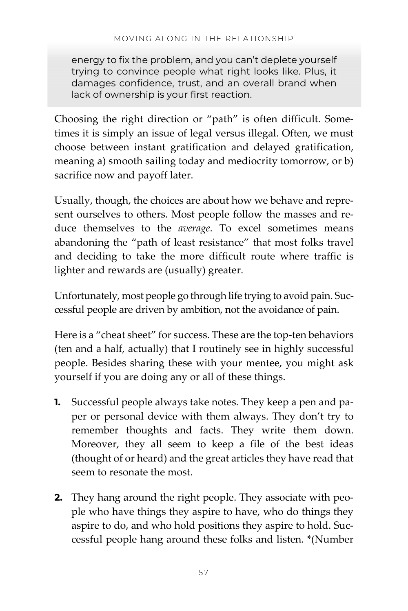energy to fix the problem, and you can't deplete yourself trying to convince people what right looks like. Plus, it damages confidence, trust, and an overall brand when lack of ownership is your first reaction.

Choosing the right direction or "path" is often difficult. Sometimes it is simply an issue of legal versus illegal. Often, we must choose between instant gratification and delayed gratification, meaning a) smooth sailing today and mediocrity tomorrow, or b) sacrifice now and payoff later.

Usually, though, the choices are about how we behave and represent ourselves to others. Most people follow the masses and reduce themselves to the *average*. To excel sometimes means abandoning the "path of least resistance" that most folks travel and deciding to take the more difficult route where traffic is lighter and rewards are (usually) greater.

Unfortunately, most people go through life trying to avoid pain. Successful people are driven by ambition, not the avoidance of pain.

Here is a "cheat sheet" for success. These are the top-ten behaviors (ten and a half, actually) that I routinely see in highly successful people. Besides sharing these with your mentee, you might ask yourself if you are doing any or all of these things.

- **1.** Successful people always take notes. They keep a pen and paper or personal device with them always. They don't try to remember thoughts and facts. They write them down. Moreover, they all seem to keep a file of the best ideas (thought of or heard) and the great articles they have read that seem to resonate the most
- **2.** They hang around the right people. They associate with people who have things they aspire to have, who do things they aspire to do, and who hold positions they aspire to hold. Successful people hang around these folks and listen. \*(Number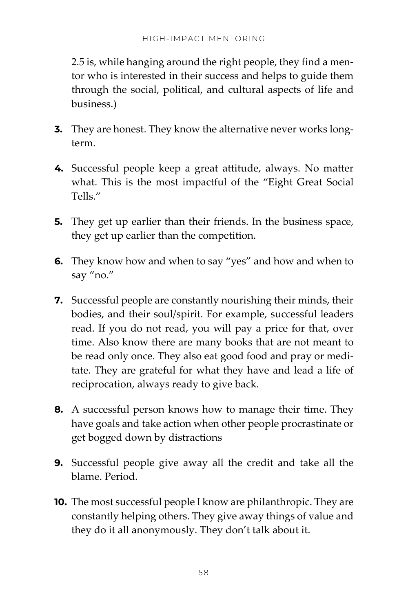2.5 is, while hanging around the right people, they find a mentor who is interested in their success and helps to guide them through the social, political, and cultural aspects of life and business.)

- **3.** They are honest. They know the alternative never works longterm.
- **4.** Successful people keep a great attitude, always. No matter what. This is the most impactful of the "Eight Great Social Tells."
- **5.** They get up earlier than their friends. In the business space, they get up earlier than the competition.
- **6.** They know how and when to say "yes" and how and when to say "no."
- **7.** Successful people are constantly nourishing their minds, their bodies, and their soul/spirit. For example, successful leaders read. If you do not read, you will pay a price for that, over time. Also know there are many books that are not meant to be read only once. They also eat good food and pray or meditate. They are grateful for what they have and lead a life of reciprocation, always ready to give back.
- **8.** A successful person knows how to manage their time. They have goals and take action when other people procrastinate or get bogged down by distractions
- **9.** Successful people give away all the credit and take all the blame. Period.
- **10.** The most successful people I know are philanthropic. They are constantly helping others. They give away things of value and they do it all anonymously. They don't talk about it.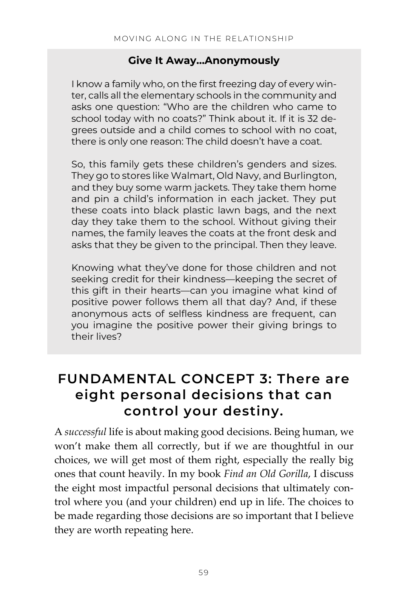#### **Give It Away…Anonymously**

I know a family who, on the first freezing day of every winter, calls all the elementary schools in the community and asks one question: "Who are the children who came to school today with no coats?" Think about it. If it is 32 degrees outside and a child comes to school with no coat, there is only one reason: The child doesn't have a coat.

So, this family gets these children's genders and sizes. They go to stores like Walmart, Old Navy, and Burlington, and they buy some warm jackets. They take them home and pin a child's information in each jacket. They put these coats into black plastic lawn bags, and the next day they take them to the school. Without giving their names, the family leaves the coats at the front desk and asks that they be given to the principal. Then they leave.

Knowing what they've done for those children and not seeking credit for their kindness—keeping the secret of this gift in their hearts—can you imagine what kind of positive power follows them all that day? And, if these anonymous acts of selfless kindness are frequent, can you imagine the positive power their giving brings to their lives?

### **FUNDAMENTAL CONCEPT 3: There are eight personal decisions that can control your destiny.**

A *successful* life is about making good decisions. Being human, we won't make them all correctly, but if we are thoughtful in our choices, we will get most of them right, especially the really big ones that count heavily. In my book *Find an Old Gorilla*, I discuss the eight most impactful personal decisions that ultimately control where you (and your children) end up in life. The choices to be made regarding those decisions are so important that I believe they are worth repeating here.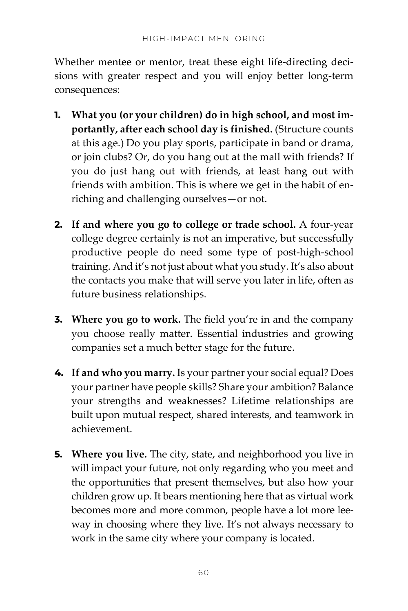Whether mentee or mentor, treat these eight life-directing decisions with greater respect and you will enjoy better long-term consequences:

- **1. What you (or your children) do in high school, and most importantly, after each school day is finished.** (Structure counts at this age.) Do you play sports, participate in band or drama, or join clubs? Or, do you hang out at the mall with friends? If you do just hang out with friends, at least hang out with friends with ambition. This is where we get in the habit of enriching and challenging ourselves—or not.
- **2. If and where you go to college or trade school.** A four-year college degree certainly is not an imperative, but successfully productive people do need some type of post-high-school training. And it's not just about what you study. It's also about the contacts you make that will serve you later in life, often as future business relationships.
- **3. Where you go to work.** The field you're in and the company you choose really matter. Essential industries and growing companies set a much better stage for the future.
- **4. If and who you marry.** Is your partner your social equal? Does your partner have people skills? Share your ambition? Balance your strengths and weaknesses? Lifetime relationships are built upon mutual respect, shared interests, and teamwork in achievement.
- **5.** Where you live. The city, state, and neighborhood you live in will impact your future, not only regarding who you meet and the opportunities that present themselves, but also how your children grow up. It bears mentioning here that as virtual work becomes more and more common, people have a lot more leeway in choosing where they live. It's not always necessary to work in the same city where your company is located.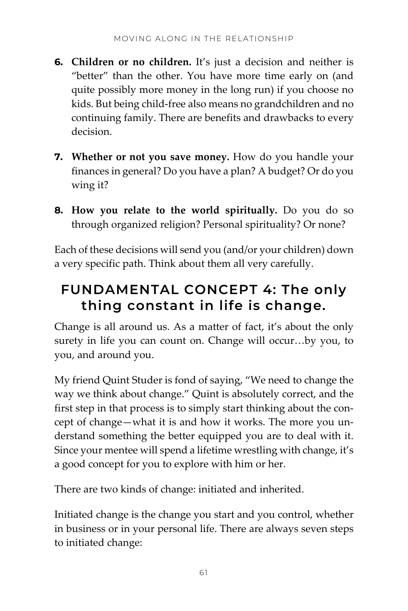- **6. Children or no children.** It's just a decision and neither is "better" than the other. You have more time early on (and quite possibly more money in the long run) if you choose no kids. But being child-free also means no grandchildren and no continuing family. There are benefits and drawbacks to every decision.
- **7. Whether or not you save money.** How do you handle your finances in general? Do you have a plan? A budget? Or do you wing it?
- **8. How you relate to the world spiritually.** Do you do so through organized religion? Personal spirituality? Or none?

Each of these decisions will send you (and/or your children) down a very specific path. Think about them all very carefully.

# **FUNDAMENTAL CONCEPT 4: The only thing constant in life is change.**

Change is all around us. As a matter of fact, it's about the only surety in life you can count on. Change will occur…by you, to you, and around you.

My friend Quint Studer is fond of saying, "We need to change the way we think about change." Quint is absolutely correct, and the first step in that process is to simply start thinking about the concept of change—what it is and how it works. The more you understand something the better equipped you are to deal with it. Since your mentee will spend a lifetime wrestling with change, it's a good concept for you to explore with him or her.

There are two kinds of change: initiated and inherited.

Initiated change is the change you start and you control, whether in business or in your personal life. There are always seven steps to initiated change: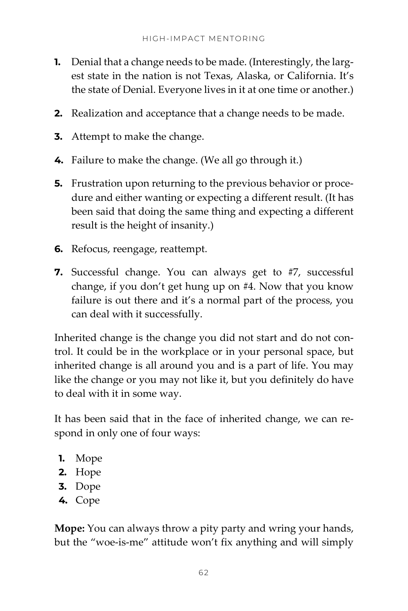- **1.** Denial that a change needs to be made. (Interestingly, the largest state in the nation is not Texas, Alaska, or California. It's the state of Denial. Everyone lives in it at one time or another.)
- **2.** Realization and acceptance that a change needs to be made.
- **3.** Attempt to make the change.
- **4.** Failure to make the change. (We all go through it.)
- **5.** Frustration upon returning to the previous behavior or procedure and either wanting or expecting a different result. (It has been said that doing the same thing and expecting a different result is the height of insanity.)
- **6.** Refocus, reengage, reattempt.
- **7.** Successful change. You can always get to #7, successful change, if you don't get hung up on #4. Now that you know failure is out there and it's a normal part of the process, you can deal with it successfully.

Inherited change is the change you did not start and do not control. It could be in the workplace or in your personal space, but inherited change is all around you and is a part of life. You may like the change or you may not like it, but you definitely do have to deal with it in some way.

It has been said that in the face of inherited change, we can respond in only one of four ways:

- **1.** Mope
- **2.** Hope
- **3.** Dope
- **4.** Cope

**Mope:** You can always throw a pity party and wring your hands, but the "woe-is-me" attitude won't fix anything and will simply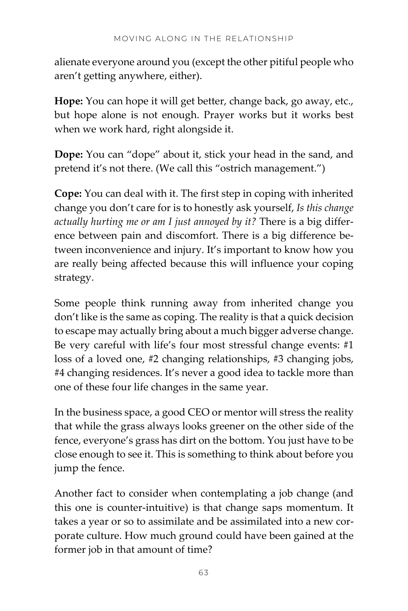alienate everyone around you (except the other pitiful people who aren't getting anywhere, either).

**Hope:** You can hope it will get better, change back, go away, etc., but hope alone is not enough. Prayer works but it works best when we work hard, right alongside it.

**Dope:** You can "dope" about it, stick your head in the sand, and pretend it's not there. (We call this "ostrich management.")

**Cope:** You can deal with it. The first step in coping with inherited change you don't care for is to honestly ask yourself, *Is this change actually hurting me or am I just annoyed by it?* There is a big difference between pain and discomfort. There is a big difference between inconvenience and injury. It's important to know how you are really being affected because this will influence your coping strategy.

Some people think running away from inherited change you don't like is the same as coping. The reality is that a quick decision to escape may actually bring about a much bigger adverse change. Be very careful with life's four most stressful change events: #1 loss of a loved one, #2 changing relationships, #3 changing jobs, #4 changing residences. It's never a good idea to tackle more than one of these four life changes in the same year.

In the business space, a good CEO or mentor will stress the reality that while the grass always looks greener on the other side of the fence, everyone's grass has dirt on the bottom. You just have to be close enough to see it. This is something to think about before you jump the fence.

Another fact to consider when contemplating a job change (and this one is counter-intuitive) is that change saps momentum. It takes a year or so to assimilate and be assimilated into a new corporate culture. How much ground could have been gained at the former job in that amount of time?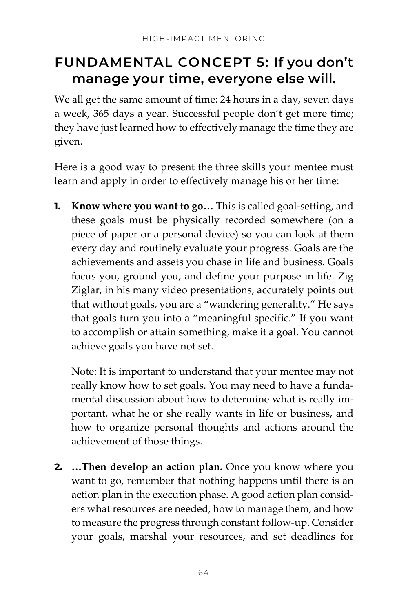# **FUNDAMENTAL CONCEPT 5: If you don't manage your time, everyone else will.**

We all get the same amount of time: 24 hours in a day, seven days a week, 365 days a year. Successful people don't get more time; they have just learned how to effectively manage the time they are given.

Here is a good way to present the three skills your mentee must learn and apply in order to effectively manage his or her time:

**1. Know where you want to go…** This is called goal-setting, and these goals must be physically recorded somewhere (on a piece of paper or a personal device) so you can look at them every day and routinely evaluate your progress. Goals are the achievements and assets you chase in life and business. Goals focus you, ground you, and define your purpose in life. Zig Ziglar, in his many video presentations, accurately points out that without goals, you are a "wandering generality." He says that goals turn you into a "meaningful specific." If you want to accomplish or attain something, make it a goal. You cannot achieve goals you have not set.

Note: It is important to understand that your mentee may not really know how to set goals. You may need to have a fundamental discussion about how to determine what is really important, what he or she really wants in life or business, and how to organize personal thoughts and actions around the achievement of those things.

**2. …Then develop an action plan.** Once you know where you want to go, remember that nothing happens until there is an action plan in the execution phase. A good action plan considers what resources are needed, how to manage them, and how to measure the progress through constant follow-up. Consider your goals, marshal your resources, and set deadlines for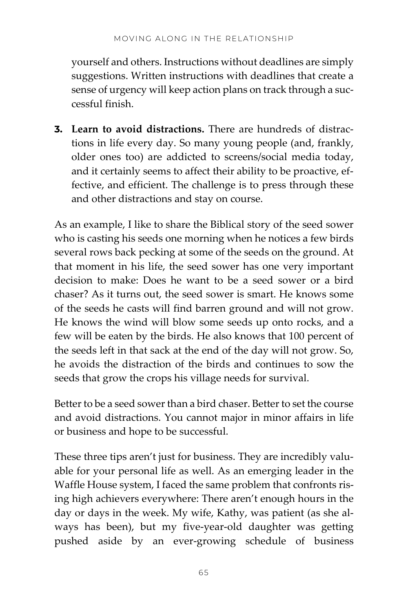yourself and others. Instructions without deadlines are simply suggestions. Written instructions with deadlines that create a sense of urgency will keep action plans on track through a successful finish.

**3. Learn to avoid distractions.** There are hundreds of distractions in life every day. So many young people (and, frankly, older ones too) are addicted to screens/social media today, and it certainly seems to affect their ability to be proactive, effective, and efficient. The challenge is to press through these and other distractions and stay on course.

As an example, I like to share the Biblical story of the seed sower who is casting his seeds one morning when he notices a few birds several rows back pecking at some of the seeds on the ground. At that moment in his life, the seed sower has one very important decision to make: Does he want to be a seed sower or a bird chaser? As it turns out, the seed sower is smart. He knows some of the seeds he casts will find barren ground and will not grow. He knows the wind will blow some seeds up onto rocks, and a few will be eaten by the birds. He also knows that 100 percent of the seeds left in that sack at the end of the day will not grow. So, he avoids the distraction of the birds and continues to sow the seeds that grow the crops his village needs for survival.

Better to be a seed sower than a bird chaser. Better to set the course and avoid distractions. You cannot major in minor affairs in life or business and hope to be successful.

These three tips aren't just for business. They are incredibly valuable for your personal life as well. As an emerging leader in the Waffle House system, I faced the same problem that confronts rising high achievers everywhere: There aren't enough hours in the day or days in the week. My wife, Kathy, was patient (as she always has been), but my five-year-old daughter was getting pushed aside by an ever-growing schedule of business